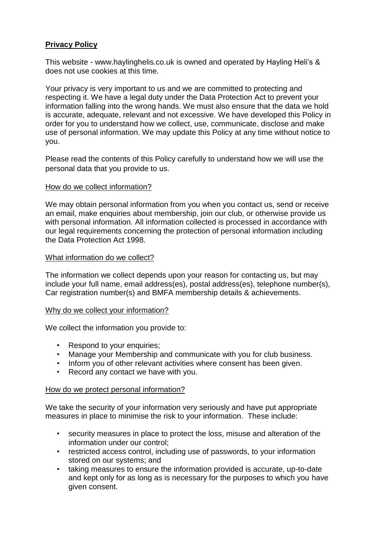# **Privacy Policy**

This website - www.haylinghelis.co.uk is owned and operated by Hayling Heli's & does not use cookies at this time.

Your privacy is very important to us and we are committed to protecting and respecting it. We have a legal duty under the Data Protection Act to prevent your information falling into the wrong hands. We must also ensure that the data we hold is accurate, adequate, relevant and not excessive. We have developed this Policy in order for you to understand how we collect, use, communicate, disclose and make use of personal information. We may update this Policy at any time without notice to you.

Please read the contents of this Policy carefully to understand how we will use the personal data that you provide to us.

# How do we collect information?

We may obtain personal information from you when you contact us, send or receive an email, make enquiries about membership, join our club, or otherwise provide us with personal information. All information collected is processed in accordance with our legal requirements concerning the protection of personal information including the Data Protection Act 1998.

### What information do we collect?

The information we collect depends upon your reason for contacting us, but may include your full name, email address(es), postal address(es), telephone number(s), Car registration number(s) and BMFA membership details & achievements.

# Why do we collect your information?

We collect the information you provide to:

- Respond to your enquiries;
- Manage your Membership and communicate with you for club business.
- Inform you of other relevant activities where consent has been given.
- Record any contact we have with you.

#### How do we protect personal information?

We take the security of your information very seriously and have put appropriate measures in place to minimise the risk to your information. These include:

- security measures in place to protect the loss, misuse and alteration of the information under our control;
- restricted access control, including use of passwords, to your information stored on our systems; and
- taking measures to ensure the information provided is accurate, up-to-date and kept only for as long as is necessary for the purposes to which you have given consent.